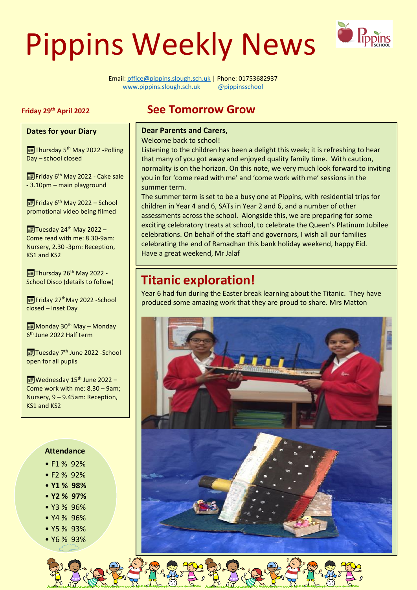# Pippins Weekly News



Email: [office@pippins.slough.sch.uk](mailto:office@pippins.slough.sch.uk) | Phone: 01753682937 [www.pippins.slough.sch.uk](http://www.pippins.slough.sch.uk/) @pippinsschool See Tomorrow Grow

## **Dates for your Diary**

Thursday 5<sup>th</sup> May 2022 -Polling Day – school closed

Friday 6<sup>th</sup> May 2022 - Cake sale - 3.10pm – main playground

Friday 6<sup>th</sup> May 2022 – School promotional video being filmed

 $\boxed{\blacksquare}$ Tuesday 24<sup>th</sup> May 2022 -Come read with me: 8.30-9am: Nursery, 2.30 -3pm: Reception, KS1 and KS2

 $\sqrt{\frac{1}{2}}$ Thursday 26<sup>th</sup> May 2022 -School Disco (details to follow)

Friday 27<sup>th</sup>May 2022 - School closed – Inset Day

 $\sqrt{\frac{1}{2}}$  Monday 30<sup>th</sup> May – Monday 6<sup>th</sup> June 2022 Half term

Tuesday 7<sup>th</sup> June 2022 - School open for all pupils

Wednesday  $15<sup>th</sup>$  June 2022 – Come work with me: 8.30 – 9am; Nursery, 9 – 9.45am: Reception, KS1 and KS2

### **Attendance**

- F1 % 92%
- F2 % 92%
- **Y1 % 98%**
- **Y2 % 97%**
- Y3 % 96%
- Y4 % 96%
- Y5 % 93%
- Y6 % 93%

# **Friday 29th April 2022 See Tomorrow Grow**

### **Dear Parents and Carers,**

Welcome back to school!

Listening to the children has been a delight this week; it is refreshing to hear that many of you got away and enjoyed quality family time. With caution, normality is on the horizon. On this note, we very much look forward to inviting you in for 'come read with me' and 'come work with me' sessions in the summer term.

The summer term is set to be a busy one at Pippins, with residential trips for children in Year 4 and 6, SATs in Year 2 and 6, and a number of other assessments across the school. Alongside this, we are preparing for some exciting celebratory treats at school, to celebrate the Queen's Platinum Jubilee celebrations. On behalf of the staff and governors, I wish all our families celebrating the end of Ramadhan this bank holiday weekend, happy Eid. Have a great weekend, Mr Jalaf

# **Titanic exploration!**

Year 6 had fun during the Easter break learning about the Titanic. They have produced some amazing work that they are proud to share. Mrs Matton